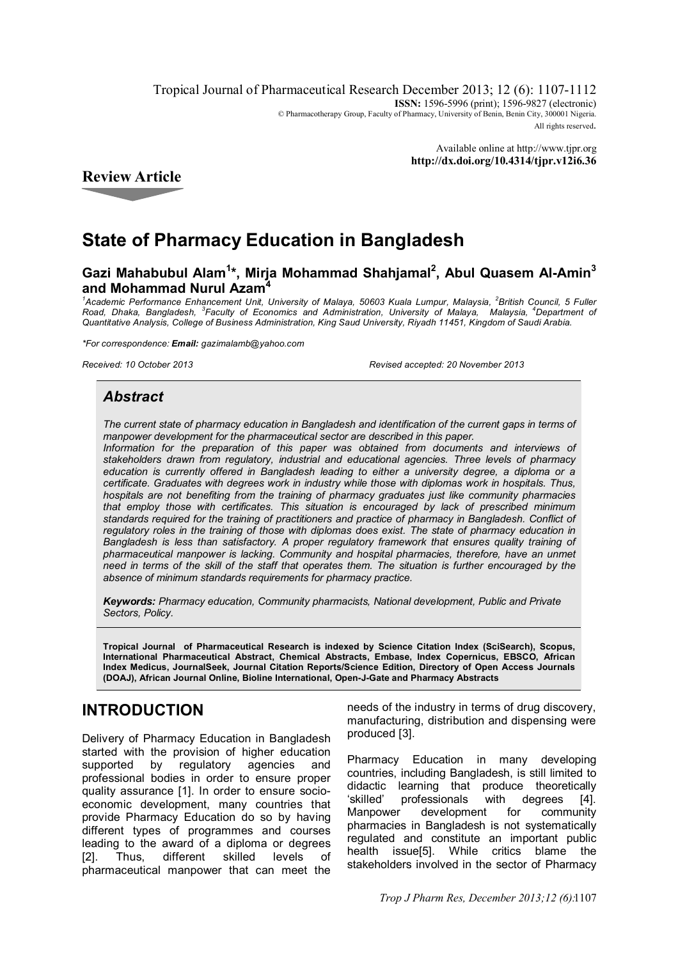Tropical Journal of Pharmaceutical Research December 2013; 12 (6): 1107-1112 **ISSN:** 1596-5996 (print); 1596-9827 (electronic) © Pharmacotherapy Group, Faculty of Pharmacy, University of Benin, Benin City, 300001 Nigeria. All rights reserved.

> Available online at http://www.tjpr.org **http://dx.doi.org/10.4314/tjpr.v12i6.36**

**Review Article**

# **State of Pharmacy Education in Bangladesh**

# **Gazi Mahabubul Alam<sup>1</sup> \*, Mirja Mohammad Shahjamal<sup>2</sup> , Abul Quasem Al-Amin<sup>3</sup> and Mohammad Nurul Azam<sup>4</sup>**

<sup>1</sup>Academic Performance Enhancement Unit, University of Malaya, 50603 Kuala Lumpur, Malaysia, <sup>2</sup>British Council, 5 Fuller *Road, Dhaka, Bangladesh, <sup>3</sup> Faculty of Economics and Administration, University of Malaya, Malaysia,<sup>4</sup>Department of Quantitative Analysis, College of Business Administration, King Saud University, Riyadh 11451, Kingdom of Saudi Arabia.*

*\*For correspondence: Email: gazimalamb@yahoo.com*

*Received: 10 October 2013 Revised accepted: 20 November 2013*

# *Abstract*

*The current state of pharmacy education in Bangladesh and identification of the current gaps in terms of manpower development for the pharmaceutical sector are described in this paper.*

*Information for the preparation of this paper was obtained from documents and interviews of stakeholders drawn from regulatory, industrial and educational agencies. Three levels of pharmacy education is currently offered in Bangladesh leading to either a university degree, a diploma or a certificate. Graduates with degrees work in industry while those with diplomas work in hospitals. Thus, hospitals are not benefiting from the training of pharmacy graduates just like community pharmacies that employ those with certificates. This situation is encouraged by lack of prescribed minimum*  standards required for the training of practitioners and practice of pharmacy in Bangladesh. Conflict of *regulatory roles in the training of those with diplomas does exist. The state of pharmacy education in Bangladesh is less than satisfactory. A proper regulatory framework that ensures quality training of pharmaceutical manpower is lacking. Community and hospital pharmacies, therefore, have an unmet need in terms of the skill of the staff that operates them. The situation is further encouraged by the absence of minimum standards requirements for pharmacy practice.* 

*Keywords: Pharmacy education, Community pharmacists, National development, Public and Private Sectors, Policy.*

**Tropical Journal of Pharmaceutical Research is indexed by Science Citation Index (SciSearch), Scopus, International Pharmaceutical Abstract, Chemical Abstracts, Embase, Index Copernicus, EBSCO, African Index Medicus, JournalSeek, Journal Citation Reports/Science Edition, Directory of Open Access Journals (DOAJ), African Journal Online, Bioline International, Open-J-Gate and Pharmacy Abstracts**

# **INTRODUCTION**

Delivery of Pharmacy Education in Bangladesh started with the provision of higher education<br>supported by regulatory agencies and supported by regulatory agencies and professional bodies in order to ensure proper quality assurance [1]. In order to ensure socioeconomic development, many countries that provide Pharmacy Education do so by having different types of programmes and courses leading to the award of a diploma or degrees [2]. Thus, different skilled levels of pharmaceutical manpower that can meet the

needs of the industry in terms of drug discovery, manufacturing, distribution and dispensing were produced [3].

Pharmacy Education in many developing countries, including Bangladesh, is still limited to didactic learning that produce theoretically 'skilled' professionals with degrees [4]. Manpower development for community pharmacies in Bangladesh is not systematically regulated and constitute an important public health issue[5]. While critics blame the stakeholders involved in the sector of Pharmacy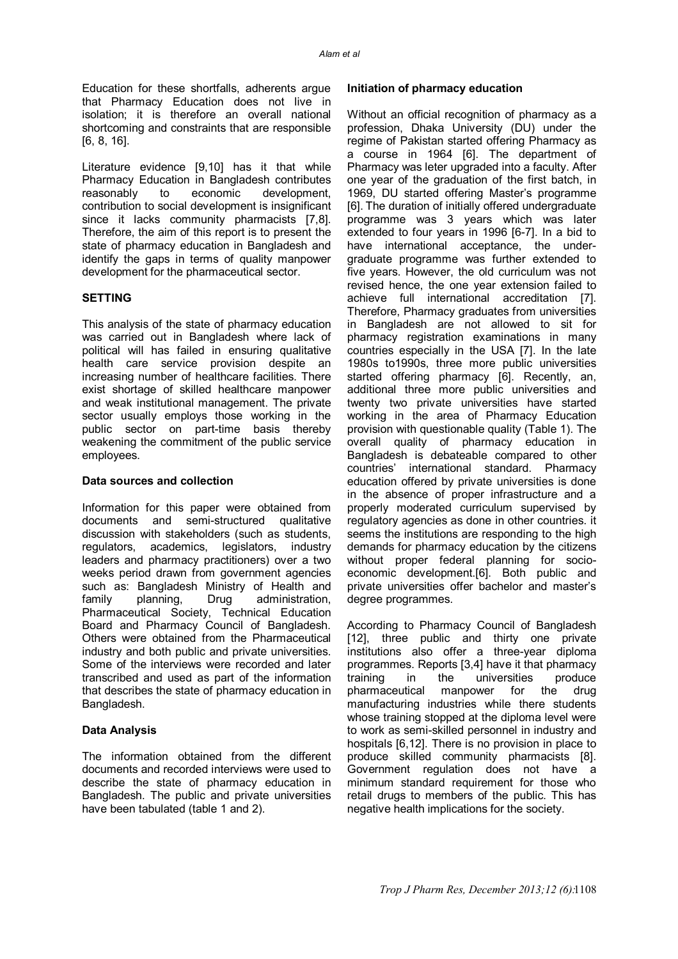Education for these shortfalls, adherents argue that Pharmacy Education does not live in isolation; it is therefore an overall national shortcoming and constraints that are responsible [6, 8, 16].

Literature evidence [9,10] has it that while Pharmacy Education in Bangladesh contributes<br>reasonably to economic development. reasonably to economic development, contribution to social development is insignificant since it lacks community pharmacists [7,8]. Therefore, the aim of this report is to present the state of pharmacy education in Bangladesh and identify the gaps in terms of quality manpower development for the pharmaceutical sector.

### **SETTING**

This analysis of the state of pharmacy education was carried out in Bangladesh where lack of political will has failed in ensuring qualitative health care service provision despite an increasing number of healthcare facilities. There exist shortage of skilled healthcare manpower and weak institutional management. The private sector usually employs those working in the public sector on part-time basis thereby weakening the commitment of the public service employees.

### **Data sources and collection**

Information for this paper were obtained from documents and semi-structured qualitative discussion with stakeholders (such as students, regulators, academics, legislators, industry leaders and pharmacy practitioners) over a two weeks period drawn from government agencies such as: Bangladesh Ministry of Health and family planning, Drug administration, Pharmaceutical Society, Technical Education Board and Pharmacy Council of Bangladesh. Others were obtained from the Pharmaceutical industry and both public and private universities. Some of the interviews were recorded and later transcribed and used as part of the information that describes the state of pharmacy education in Bangladesh.

## **Data Analysis**

The information obtained from the different documents and recorded interviews were used to describe the state of pharmacy education in Bangladesh. The public and private universities have been tabulated (table 1 and 2).

#### **Initiation of pharmacy education**

Without an official recognition of pharmacy as a profession, Dhaka University (DU) under the regime of Pakistan started offering Pharmacy as a course in 1964 [6]. The department of Pharmacy was leter upgraded into a faculty. After one year of the graduation of the first batch, in 1969, DU started offering Master's programme [6]. The duration of initially offered undergraduate programme was 3 years which was later extended to four years in 1996 [6-7]. In a bid to have international acceptance, the undergraduate programme was further extended to five years. However, the old curriculum was not revised hence, the one year extension failed to achieve full international accreditation [7]. Therefore, Pharmacy graduates from universities in Bangladesh are not allowed to sit for pharmacy registration examinations in many countries especially in the USA [7]. In the late 1980s to1990s, three more public universities started offering pharmacy [6]. Recently, an, additional three more public universities and twenty two private universities have started working in the area of Pharmacy Education provision with questionable quality (Table 1). The overall quality of pharmacy education in Bangladesh is debateable compared to other countries' international standard. Pharmacy education offered by private universities is done in the absence of proper infrastructure and a properly moderated curriculum supervised by regulatory agencies as done in other countries. it seems the institutions are responding to the high demands for pharmacy education by the citizens without proper federal planning for socioeconomic development.[6]. Both public and private universities offer bachelor and master's degree programmes.

According to Pharmacy Council of Bangladesh [12], three public and thirty one private institutions also offer a three-year diploma programmes. Reports [3,4] have it that pharmacy<br>training in the universities produce training in the universities pharmaceutical manpower for the drug manufacturing industries while there students whose training stopped at the diploma level were to work as semi-skilled personnel in industry and hospitals [6,12]. There is no provision in place to produce skilled community pharmacists [8]. Government regulation does not have a minimum standard requirement for those who retail drugs to members of the public. This has negative health implications for the society.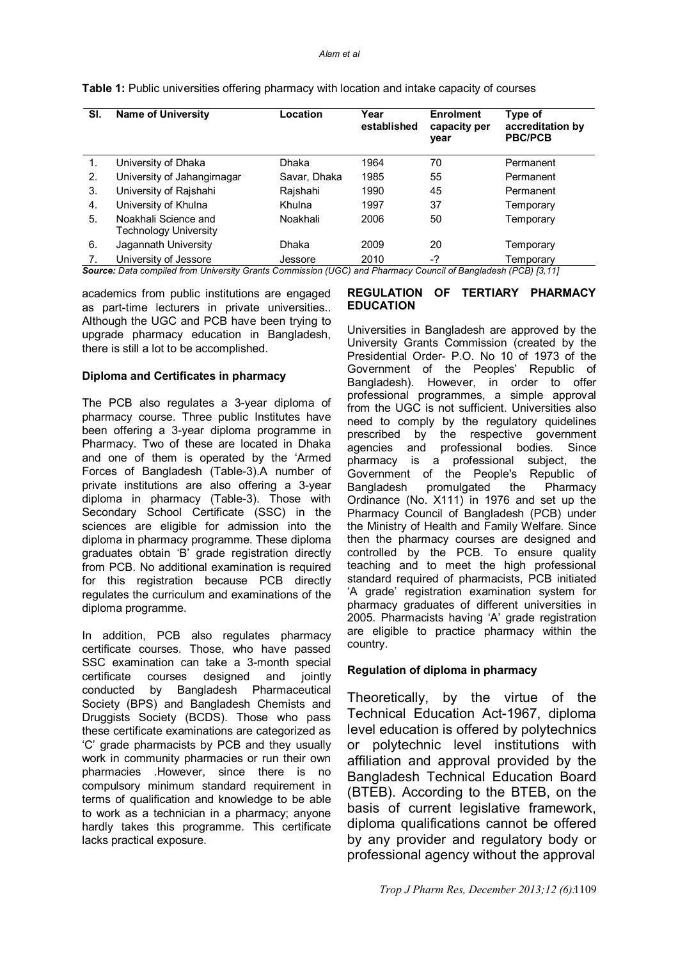| SI. | <b>Name of University</b>                     | Location     | Year<br>established | <b>Enrolment</b><br>capacity per<br>year | Type of<br>accreditation by<br><b>PBC/PCB</b> |
|-----|-----------------------------------------------|--------------|---------------------|------------------------------------------|-----------------------------------------------|
|     | University of Dhaka                           | Dhaka        | 1964                | 70                                       | Permanent                                     |
| 2.  | University of Jahangirnagar                   | Savar, Dhaka | 1985                | 55                                       | Permanent                                     |
| 3.  | University of Rajshahi                        | Rajshahi     | 1990                | 45                                       | Permanent                                     |
| 4.  | University of Khulna                          | Khulna       | 1997                | 37                                       | Temporary                                     |
| 5.  | Noakhali Science and<br>Technology University | Noakhali     | 2006                | 50                                       | Temporary                                     |
| 6.  | Jagannath University                          | Dhaka        | 2009                | 20                                       | Temporary                                     |
|     | University of Jessore                         | Jessore      | 2010                | $-2$                                     | Temporarv                                     |

**Table 1:** Public universities offering pharmacy with location and intake capacity of courses

*Source: Data compiled from University Grants Commission (UGC) and Pharmacy Council of Bangladesh (PCB) [3,11]*

academics from public institutions are engaged as part-time lecturers in private universities.. Although the UGC and PCB have been trying to upgrade pharmacy education in Bangladesh, there is still a lot to be accomplished.

#### **Diploma and Certificates in pharmacy**

The PCB also regulates a 3-year diploma of pharmacy course. Three public Institutes have been offering a 3-year diploma programme in Pharmacy. Two of these are located in Dhaka and one of them is operated by the 'Armed Forces of Bangladesh (Table-3).A number of private institutions are also offering a 3-year diploma in pharmacy (Table-3). Those with Secondary School Certificate (SSC) in the sciences are eligible for admission into the diploma in pharmacy programme. These diploma graduates obtain 'B' grade registration directly from PCB. No additional examination is required for this registration because PCB directly regulates the curriculum and examinations of the diploma programme.

In addition, PCB also regulates pharmacy certificate courses. Those, who have passed SSC examination can take a 3-month special certificate courses designed and jointly conducted by Bangladesh Pharmaceutical Society (BPS) and Bangladesh Chemists and Druggists Society (BCDS). Those who pass these certificate examinations are categorized as 'C' grade pharmacists by PCB and they usually work in community pharmacies or run their own pharmacies .However, since there is no compulsory minimum standard requirement in terms of qualification and knowledge to be able to work as a technician in a pharmacy; anyone hardly takes this programme. This certificate lacks practical exposure.

## **REGULATION OF TERTIARY PHARMACY EDUCATION**

Universities in Bangladesh are approved by the University Grants Commission (created by the Presidential Order- P.O. No 10 of 1973 of the Government of the Peoples' Republic of Bangladesh). However, in order to offer professional programmes, a simple approval from the UGC is not sufficient. Universities also need to comply by the regulatory quidelines prescribed by the respective government agencies and professional bodies. Since pharmacy is a professional subject, the Government of the People's Republic of Bangladesh promulgated the Pharmacy Ordinance (No. X111) in 1976 and set up the Pharmacy Council of Bangladesh (PCB) under the Ministry of Health and Family Welfare. Since then the pharmacy courses are designed and controlled by the PCB. To ensure quality teaching and to meet the high professional standard required of pharmacists, PCB initiated 'A grade' registration examination system for pharmacy graduates of different universities in 2005. Pharmacists having 'A' grade registration are eligible to practice pharmacy within the country.

## **Regulation of diploma in pharmacy**

Theoretically, by the virtue of the Technical Education Act-1967, diploma level education is offered by polytechnics or polytechnic level institutions with affiliation and approval provided by the Bangladesh Technical Education Board (BTEB). According to the BTEB, on the basis of current legislative framework, diploma qualifications cannot be offered by any provider and regulatory body or professional agency without the approval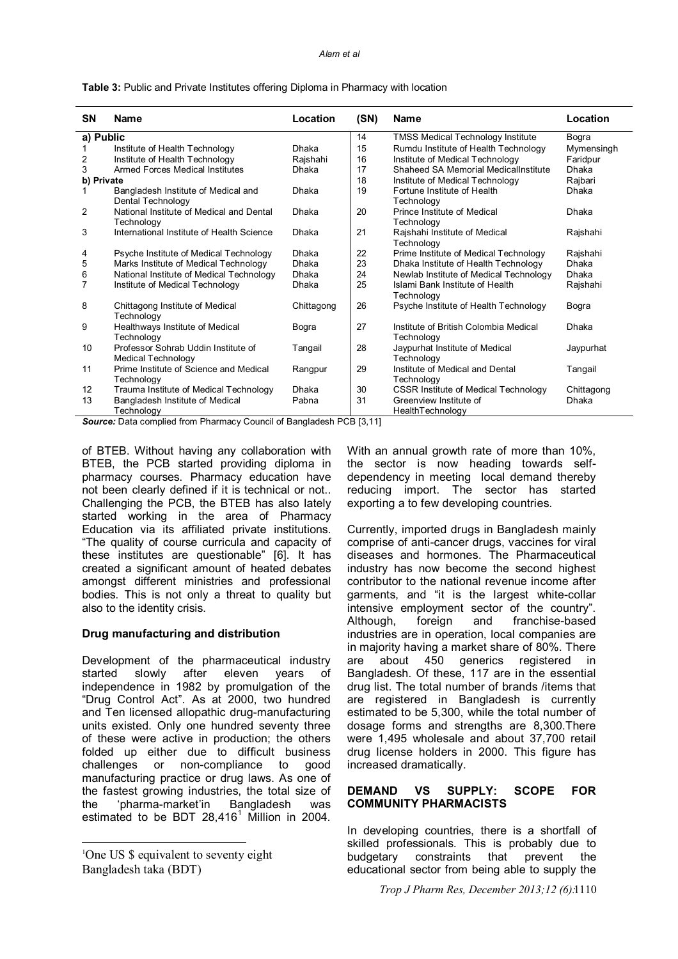#### *Alam et al*

| <b>SN</b>      | <b>Name</b>                                                      | Location   | (SN)                                     | <b>Name</b>                                         | Location   |
|----------------|------------------------------------------------------------------|------------|------------------------------------------|-----------------------------------------------------|------------|
| a) Public      |                                                                  | 14         | <b>TMSS Medical Technology Institute</b> | Bogra                                               |            |
|                | Institute of Health Technology                                   | Dhaka      | 15                                       | Rumdu Institute of Health Technology                | Mymensingh |
| 2              | Institute of Health Technology                                   | Rajshahi   | 16                                       | Institute of Medical Technology                     | Faridpur   |
| 3              | Armed Forces Medical Institutes                                  | Dhaka      | 17                                       | Shaheed SA Memorial MedicalInstitute                | Dhaka      |
| b) Private     |                                                                  | 18         | Institute of Medical Technology          | Rajbari                                             |            |
|                | Bangladesh Institute of Medical and<br>Dental Technology         | Dhaka      | 19                                       | Fortune Institute of Health<br>Technology           | Dhaka      |
| $\overline{2}$ | National Institute of Medical and Dental<br>Technology           | Dhaka      | 20                                       | Prince Institute of Medical<br>Technology           | Dhaka      |
| 3              | International Institute of Health Science                        | Dhaka      | 21                                       | Rajshahi Institute of Medical<br>Technology         | Rajshahi   |
| 4              | Psyche Institute of Medical Technology                           | Dhaka      | 22                                       | Prime Institute of Medical Technology               | Rajshahi   |
| 5              | Marks Institute of Medical Technology                            | Dhaka      | 23                                       | Dhaka Institute of Health Technology                | Dhaka      |
| 6              | National Institute of Medical Technology                         | Dhaka      | 24                                       | Newlab Institute of Medical Technology              | Dhaka      |
| 7              | Institute of Medical Technology                                  | Dhaka      | 25                                       | Islami Bank Institute of Health<br>Technology       | Rajshahi   |
| 8              | Chittagong Institute of Medical<br>Technology                    | Chittagong | 26                                       | Psyche Institute of Health Technology               | Bogra      |
| 9              | Healthways Institute of Medical<br>Technology                    | Bogra      | 27                                       | Institute of British Colombia Medical<br>Technology | Dhaka      |
| 10             | Professor Sohrab Uddin Institute of<br><b>Medical Technology</b> | Tangail    | 28                                       | Jaypurhat Institute of Medical<br>Technology        | Jaypurhat  |
| 11             | Prime Institute of Science and Medical<br>Technology             | Rangpur    | 29                                       | Institute of Medical and Dental<br>Technology       | Tangail    |
| 12             | Trauma Institute of Medical Technology                           | Dhaka      | 30                                       | <b>CSSR Institute of Medical Technology</b>         | Chittagong |
| 13             | Bangladesh Institute of Medical<br>Technology                    | Pabna      | 31                                       | Greenview Institute of<br>HealthTechnology          | Dhaka      |

**Source:** Data complied from Pharmacy Council of Bangladesh PCB [3,11]

of BTEB. Without having any collaboration with BTEB, the PCB started providing diploma in pharmacy courses. Pharmacy education have not been clearly defined if it is technical or not.. Challenging the PCB, the BTEB has also lately started working in the area of Pharmacy Education via its affiliated private institutions. "The quality of course curricula and capacity of these institutes are questionable" [6]. It has created a significant amount of heated debates amongst different ministries and professional bodies. This is not only a threat to quality but also to the identity crisis.

#### **Drug manufacturing and distribution**

Development of the pharmaceutical industry started slowly after eleven years of independence in 1982 by promulgation of the "Drug Control Act". As at 2000, two hundred and Ten licensed allopathic drug-manufacturing units existed. Only one hundred seventy three of these were active in production; the others folded up either due to difficult business challenges or non-compliance to good manufacturing practice or drug laws. As one of the fastest growing industries, the total size of the 'pharma-market'in Bangladesh was estimated to be BDT  $28,416<sup>1</sup>$  Million in 2004.

<sup>1</sup>One US \$ equivalent to seventy eight Bangladesh taka (BDT)

 $\overline{a}$ 

With an annual growth rate of more than 10%, the sector is now heading towards selfdependency in meeting local demand thereby reducing import. The sector has started exporting a to few developing countries.

Currently, imported drugs in Bangladesh mainly comprise of anti-cancer drugs, vaccines for viral diseases and hormones. The Pharmaceutical industry has now become the second highest contributor to the national revenue income after garments, and "it is the largest white-collar intensive employment sector of the country". Although, foreign and franchise-based industries are in operation, local companies are in majority having a market share of 80%. There are about 450 generics registered in Bangladesh. Of these, 117 are in the essential drug list. The total number of brands /items that are registered in Bangladesh is currently estimated to be 5,300, while the total number of dosage forms and strengths are 8,300.There were 1,495 wholesale and about 37,700 retail drug license holders in 2000. This figure has increased dramatically.

#### **DEMAND VS SUPPLY: SCOPE FOR COMMUNITY PHARMACISTS**

In developing countries, there is a shortfall of skilled professionals. This is probably due to budgetary constraints that prevent the educational sector from being able to supply the

*Trop J Pharm Res, December 2013;12 (6):*1110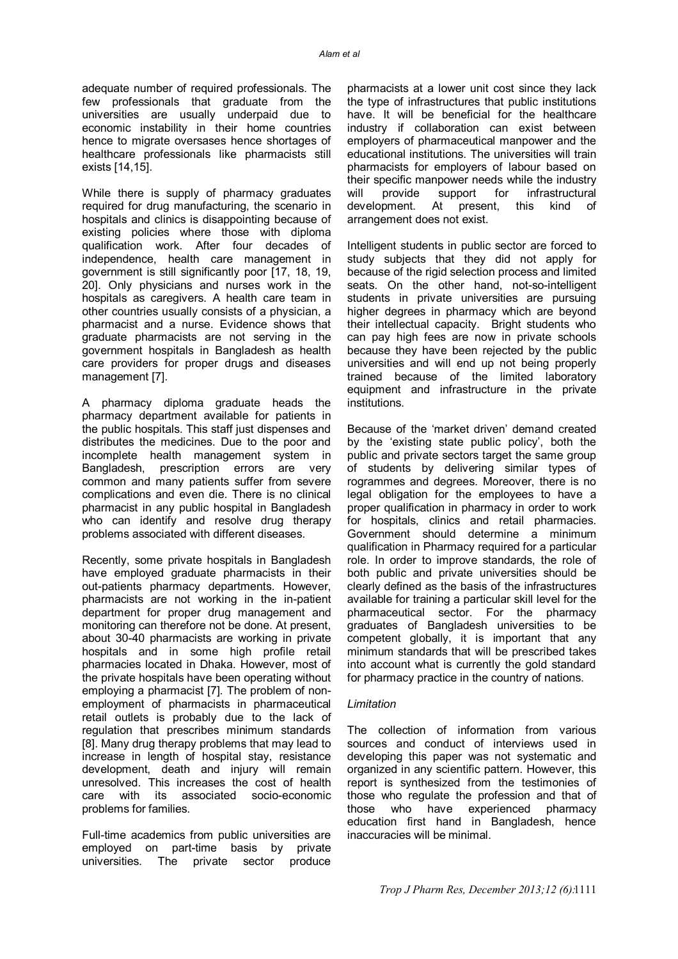adequate number of required professionals. The few professionals that graduate from the universities are usually underpaid due to economic instability in their home countries hence to migrate oversases hence shortages of healthcare professionals like pharmacists still exists [14,15].

While there is supply of pharmacy graduates required for drug manufacturing, the scenario in hospitals and clinics is disappointing because of existing policies where those with diploma qualification work. After four decades of independence, health care management in government is still significantly poor [17, 18, 19, 20]. Only physicians and nurses work in the hospitals as caregivers. A health care team in other countries usually consists of a physician, a pharmacist and a nurse. Evidence shows that graduate pharmacists are not serving in the government hospitals in Bangladesh as health care providers for proper drugs and diseases management [7].

A pharmacy diploma graduate heads the pharmacy department available for patients in the public hospitals. This staff just dispenses and distributes the medicines. Due to the poor and incomplete health management system in Bangladesh, prescription errors are very common and many patients suffer from severe complications and even die. There is no clinical pharmacist in any public hospital in Bangladesh who can identify and resolve drug therapy problems associated with different diseases.

Recently, some private hospitals in Bangladesh have employed graduate pharmacists in their out-patients pharmacy departments. However, pharmacists are not working in the in-patient department for proper drug management and monitoring can therefore not be done. At present, about 30-40 pharmacists are working in private hospitals and in some high profile retail pharmacies located in Dhaka. However, most of the private hospitals have been operating without employing a pharmacist [7]. The problem of nonemployment of pharmacists in pharmaceutical retail outlets is probably due to the lack of regulation that prescribes minimum standards [8]. Many drug therapy problems that may lead to increase in length of hospital stay, resistance development, death and injury will remain unresolved. This increases the cost of health care with its associated socio-economic problems for families.

Full-time academics from public universities are employed on part-time basis by private universities. The private sector produce

pharmacists at a lower unit cost since they lack the type of infrastructures that public institutions have. It will be beneficial for the healthcare industry if collaboration can exist between employers of pharmaceutical manpower and the educational institutions. The universities will train pharmacists for employers of labour based on their specific manpower needs while the industry<br>will provide support for infrastructural will provide support for infrastructural<br>development. At present, this kind of development. At present, this kind of arrangement does not exist.

Intelligent students in public sector are forced to study subjects that they did not apply for because of the rigid selection process and limited seats. On the other hand, not-so-intelligent students in private universities are pursuing higher degrees in pharmacy which are beyond their intellectual capacity. Bright students who can pay high fees are now in private schools because they have been rejected by the public universities and will end up not being properly trained because of the limited laboratory equipment and infrastructure in the private institutions.

Because of the 'market driven' demand created by the 'existing state public policy', both the public and private sectors target the same group of students by delivering similar types of rogrammes and degrees. Moreover, there is no legal obligation for the employees to have a proper qualification in pharmacy in order to work for hospitals, clinics and retail pharmacies. Government should determine a minimum qualification in Pharmacy required for a particular role. In order to improve standards, the role of both public and private universities should be clearly defined as the basis of the infrastructures available for training a particular skill level for the pharmaceutical sector. For the pharmacy graduates of Bangladesh universities to be competent globally, it is important that any minimum standards that will be prescribed takes into account what is currently the gold standard for pharmacy practice in the country of nations.

#### *Limitation*

The collection of information from various sources and conduct of interviews used in developing this paper was not systematic and organized in any scientific pattern. However, this report is synthesized from the testimonies of those who regulate the profession and that of those who have experienced pharmacy education first hand in Bangladesh, hence inaccuracies will be minimal.